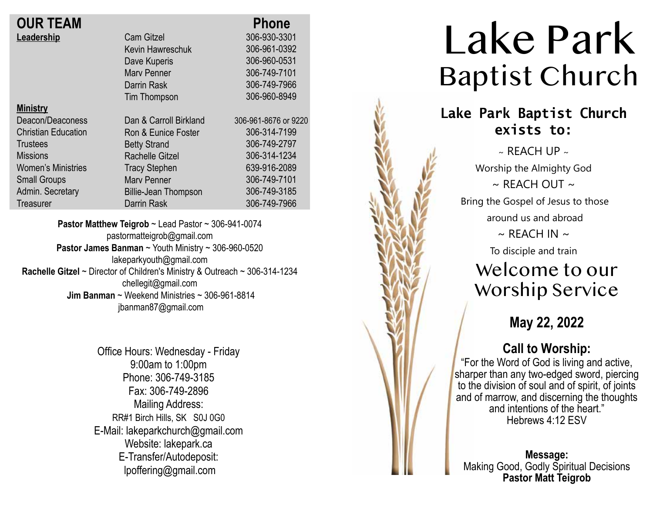| <b>OUR TEAM</b>            |                             | <b>Phone</b>      |
|----------------------------|-----------------------------|-------------------|
| Leadership                 | <b>Cam Gitzel</b>           | 306-930-3301      |
|                            | Kevin Hawreschuk            | 306-961-0392      |
|                            | Dave Kuperis                | 306-960-0531      |
|                            | <b>Mary Penner</b>          | 306-749-7101      |
|                            | Darrin Rask                 | 306-749-7966      |
|                            | Tim Thompson                | 306-960-8949      |
| <b>Ministry</b>            |                             |                   |
| Deacon/Deaconess           | Dan & Carroll Birkland      | 306-961-8676 or 9 |
| <b>Christian Education</b> | Ron & Eunice Foster         | 306-314-7199      |
| <b>Trustees</b>            | <b>Betty Strand</b>         | 306-749-2797      |
| <b>Missions</b>            | <b>Rachelle Gitzel</b>      | 306-314-1234      |
| <b>Women's Ministries</b>  | <b>Tracy Stephen</b>        | 639-916-2089      |
| <b>Small Groups</b>        | <b>Mary Penner</b>          | 306-749-7101      |
| Admin. Secretary           | <b>Billie-Jean Thompson</b> | 306-749-3185      |
| Treasurer                  | Darrin Rask                 | 306-749-7966      |
|                            |                             |                   |

9220 9

**Pastor Matthew Teigrob** ~ Lead Pastor ~ 306-941-0074 pastormatteigrob@gmail.com **Pastor James Banman** ~ Youth Ministry ~ 306-960-0520 lakeparkyouth@gmail.com **Rachelle Gitzel** ~ Director of Children's Ministry & Outreach ~ 306-314-1234 chellegit@gmail.com  **Jim Banman** ~ Weekend Ministries ~ 306-961-8814 jbanman87@gmail.com

> Office Hours: Wednesday - Friday 9:00am to 1:00pm Phone: 306-749-3185 Fax: 306-749-2896 Mailing Address: RR#1 Birch Hills, SK S0J 0G0 E-Mail: lakeparkchurch@gmail.com Website: lakepark.ca E-Transfer/Autodeposit: lpoffering@gmail.com